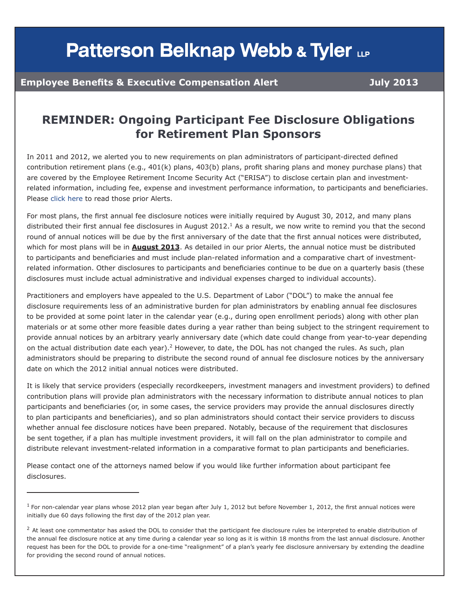## **Patterson Belknap Webb & Tyler LLP**

## **Employee Benefits & Executive Compensation Alert Company and Alexandrian Constructs**

## **REMINDER: Ongoing Participant Fee Disclosure Obligations for Retirement Plan Sponsors**

In 2011 and 2012, we alerted you to new requirements on plan administrators of participant-directed defined contribution retirement plans (e.g., 401(k) plans, 403(b) plans, profit sharing plans and money purchase plans) that are covered by the Employee Retirement Income Security Act ("ERISA") to disclose certain plan and investmentrelated information, including fee, expense and investment performance information, to participants and beneficiaries. Please [click here](http://f.datasrvr.com/fr1/013/85364/ERISA_Disclosure_Obligation_Alerts.pdf) to read those prior Alerts.

For most plans, the first annual fee disclosure notices were initially required by August 30, 2012, and many plans distributed their first annual fee disclosures in August 2012.<sup>1</sup> As a result, we now write to remind you that the second round of annual notices will be due by the first anniversary of the date that the first annual notices were distributed, which for most plans will be in **August 2013**. As detailed in our prior Alerts, the annual notice must be distributed to participants and beneficiaries and must include plan-related information and a comparative chart of investmentrelated information. Other disclosures to participants and beneficiaries continue to be due on a quarterly basis (these disclosures must include actual administrative and individual expenses charged to individual accounts).

Practitioners and employers have appealed to the U.S. Department of Labor ("DOL") to make the annual fee disclosure requirements less of an administrative burden for plan administrators by enabling annual fee disclosures to be provided at some point later in the calendar year (e.g., during open enrollment periods) along with other plan materials or at some other more feasible dates during a year rather than being subject to the stringent requirement to provide annual notices by an arbitrary yearly anniversary date (which date could change from year-to-year depending on the actual distribution date each year).<sup>2</sup> However, to date, the DOL has not changed the rules. As such, plan administrators should be preparing to distribute the second round of annual fee disclosure notices by the anniversary date on which the 2012 initial annual notices were distributed.

It is likely that service providers (especially recordkeepers, investment managers and investment providers) to defined contribution plans will provide plan administrators with the necessary information to distribute annual notices to plan participants and beneficiaries (or, in some cases, the service providers may provide the annual disclosures directly to plan participants and beneficiaries), and so plan administrators should contact their service providers to discuss whether annual fee disclosure notices have been prepared. Notably, because of the requirement that disclosures be sent together, if a plan has multiple investment providers, it will fall on the plan administrator to compile and distribute relevant investment-related information in a comparative format to plan participants and beneficiaries.

Please contact one of the attorneys named below if you would like further information about participant fee disclosures.

 $<sup>1</sup>$  For non-calendar year plans whose 2012 plan year began after July 1, 2012 but before November 1, 2012, the first annual notices were</sup> initially due 60 days following the first day of the 2012 plan year.

 $2$  At least one commentator has asked the DOL to consider that the participant fee disclosure rules be interpreted to enable distribution of the annual fee disclosure notice at any time during a calendar year so long as it is within 18 months from the last annual disclosure. Another request has been for the DOL to provide for a one-time "realignment" of a plan's yearly fee disclosure anniversary by extending the deadline for providing the second round of annual notices.